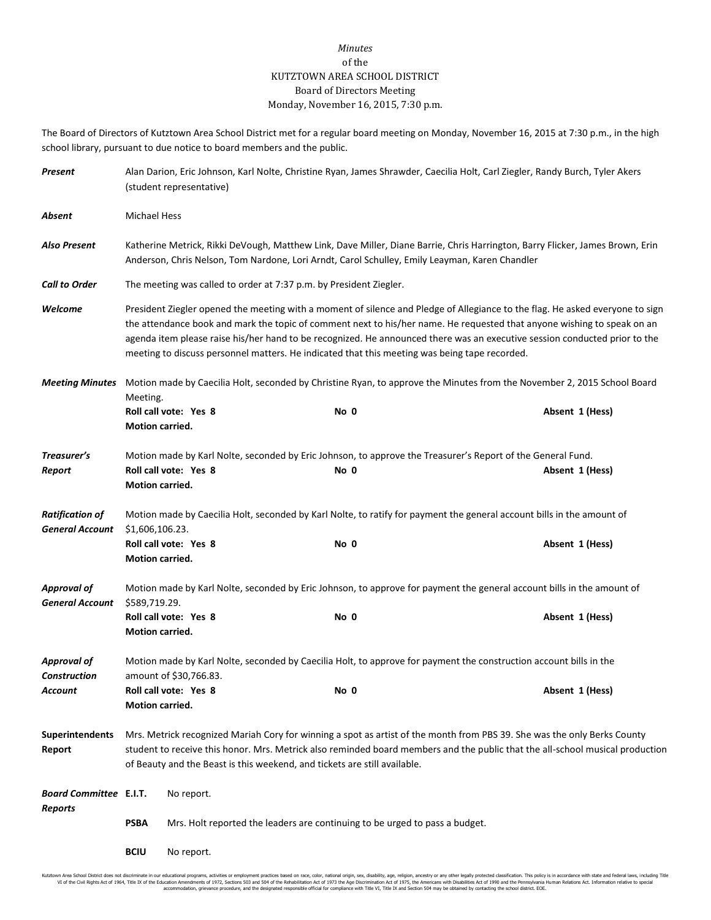## *Minutes* of the KUTZTOWN AREA SCHOOL DISTRICT Board of Directors Meeting Monday, November 16, 2015, 7:30 p.m.

The Board of Directors of Kutztown Area School District met for a regular board meeting on Monday, November 16, 2015 at 7:30 p.m., in the high school library, pursuant to due notice to board members and the public.

| Present                                                                   |                                                                                                                                           | (student representative) |                                                                                                                    | Alan Darion, Eric Johnson, Karl Nolte, Christine Ryan, James Shrawder, Caecilia Holt, Carl Ziegler, Randy Burch, Tyler Akers                                                                                                                                                                                                                                                           |  |  |  |  |
|---------------------------------------------------------------------------|-------------------------------------------------------------------------------------------------------------------------------------------|--------------------------|--------------------------------------------------------------------------------------------------------------------|----------------------------------------------------------------------------------------------------------------------------------------------------------------------------------------------------------------------------------------------------------------------------------------------------------------------------------------------------------------------------------------|--|--|--|--|
| Absent                                                                    | <b>Michael Hess</b>                                                                                                                       |                          |                                                                                                                    |                                                                                                                                                                                                                                                                                                                                                                                        |  |  |  |  |
| <b>Also Present</b>                                                       |                                                                                                                                           |                          | Anderson, Chris Nelson, Tom Nardone, Lori Arndt, Carol Schulley, Emily Leayman, Karen Chandler                     | Katherine Metrick, Rikki DeVough, Matthew Link, Dave Miller, Diane Barrie, Chris Harrington, Barry Flicker, James Brown, Erin                                                                                                                                                                                                                                                          |  |  |  |  |
| <b>Call to Order</b>                                                      |                                                                                                                                           |                          | The meeting was called to order at 7:37 p.m. by President Ziegler.                                                 |                                                                                                                                                                                                                                                                                                                                                                                        |  |  |  |  |
| Welcome                                                                   |                                                                                                                                           |                          | meeting to discuss personnel matters. He indicated that this meeting was being tape recorded.                      | President Ziegler opened the meeting with a moment of silence and Pledge of Allegiance to the flag. He asked everyone to sign<br>the attendance book and mark the topic of comment next to his/her name. He requested that anyone wishing to speak on an<br>agenda item please raise his/her hand to be recognized. He announced there was an executive session conducted prior to the |  |  |  |  |
| <b>Meeting Minutes</b><br>Treasurer's<br>Report<br><b>Ratification of</b> | Motion made by Caecilia Holt, seconded by Christine Ryan, to approve the Minutes from the November 2, 2015 School Board<br>Meeting.       |                          |                                                                                                                    |                                                                                                                                                                                                                                                                                                                                                                                        |  |  |  |  |
|                                                                           | Motion carried.                                                                                                                           | Roll call vote: Yes 8    | No 0                                                                                                               | Absent 1 (Hess)                                                                                                                                                                                                                                                                                                                                                                        |  |  |  |  |
|                                                                           |                                                                                                                                           |                          | Motion made by Karl Nolte, seconded by Eric Johnson, to approve the Treasurer's Report of the General Fund.        |                                                                                                                                                                                                                                                                                                                                                                                        |  |  |  |  |
|                                                                           | Motion carried.                                                                                                                           | Roll call vote: Yes 8    | No 0                                                                                                               | Absent 1 (Hess)                                                                                                                                                                                                                                                                                                                                                                        |  |  |  |  |
| <b>General Account</b>                                                    | Motion made by Caecilia Holt, seconded by Karl Nolte, to ratify for payment the general account bills in the amount of<br>\$1,606,106.23. |                          |                                                                                                                    |                                                                                                                                                                                                                                                                                                                                                                                        |  |  |  |  |
|                                                                           | Motion carried.                                                                                                                           | Roll call vote: Yes 8    | No 0                                                                                                               | Absent 1 (Hess)                                                                                                                                                                                                                                                                                                                                                                        |  |  |  |  |
| <b>Approval of</b><br><b>General Account</b>                              | \$589,719.29.                                                                                                                             |                          |                                                                                                                    | Motion made by Karl Nolte, seconded by Eric Johnson, to approve for payment the general account bills in the amount of                                                                                                                                                                                                                                                                 |  |  |  |  |
|                                                                           | Motion carried.                                                                                                                           | Roll call vote: Yes 8    | No 0                                                                                                               | Absent 1 (Hess)                                                                                                                                                                                                                                                                                                                                                                        |  |  |  |  |
| <b>Approval of</b><br><b>Construction</b>                                 |                                                                                                                                           | amount of \$30,766.83.   | Motion made by Karl Nolte, seconded by Caecilia Holt, to approve for payment the construction account bills in the |                                                                                                                                                                                                                                                                                                                                                                                        |  |  |  |  |
| Account                                                                   | <b>Motion carried.</b>                                                                                                                    | Roll call vote: Yes 8    | No 0                                                                                                               | Absent 1 (Hess)                                                                                                                                                                                                                                                                                                                                                                        |  |  |  |  |
| <b>Superintendents</b><br>Report                                          |                                                                                                                                           |                          | of Beauty and the Beast is this weekend, and tickets are still available.                                          | Mrs. Metrick recognized Mariah Cory for winning a spot as artist of the month from PBS 39. She was the only Berks County<br>student to receive this honor. Mrs. Metrick also reminded board members and the public that the all-school musical production                                                                                                                              |  |  |  |  |
| <b>Board Committee E.I.T.</b>                                             |                                                                                                                                           | No report.               |                                                                                                                    |                                                                                                                                                                                                                                                                                                                                                                                        |  |  |  |  |
| Reports                                                                   | PSBA                                                                                                                                      |                          | Mrs. Holt reported the leaders are continuing to be urged to pass a budget.                                        |                                                                                                                                                                                                                                                                                                                                                                                        |  |  |  |  |
|                                                                           | <b>BCIU</b>                                                                                                                               | No report.               |                                                                                                                    |                                                                                                                                                                                                                                                                                                                                                                                        |  |  |  |  |

Kutztown Area School District does not discriminate in our educational programs, activities or employment practices based on race, color, national origin, sex, disability, age, religion, ancestry or any other legally prot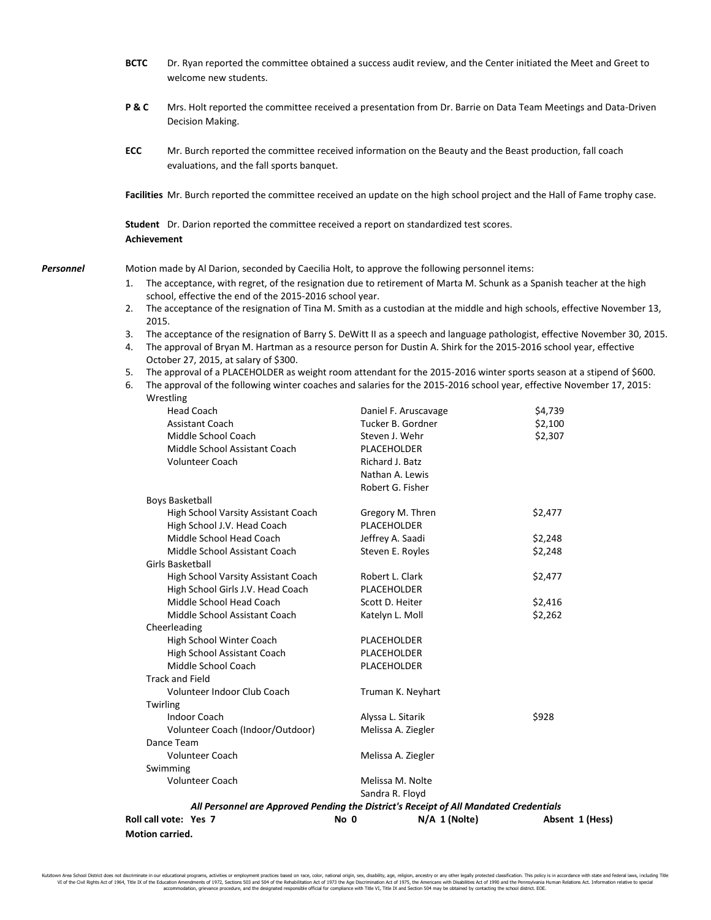|           | <b>BCTC</b> | Dr. Ryan reported the committee obtained a success audit review, and the Center initiated the Meet and Greet to<br>welcome new students.                                                     |                                                                                                          |         |  |  |  |  |  |
|-----------|-------------|----------------------------------------------------------------------------------------------------------------------------------------------------------------------------------------------|----------------------------------------------------------------------------------------------------------|---------|--|--|--|--|--|
|           | P&C         | Mrs. Holt reported the committee received a presentation from Dr. Barrie on Data Team Meetings and Data-Driven<br>Decision Making.                                                           |                                                                                                          |         |  |  |  |  |  |
|           | ECC         | evaluations, and the fall sports banquet.                                                                                                                                                    | Mr. Burch reported the committee received information on the Beauty and the Beast production, fall coach |         |  |  |  |  |  |
|           |             | Facilities Mr. Burch reported the committee received an update on the high school project and the Hall of Fame trophy case.                                                                  |                                                                                                          |         |  |  |  |  |  |
|           |             | Student Dr. Darion reported the committee received a report on standardized test scores.<br><b>Achievement</b>                                                                               |                                                                                                          |         |  |  |  |  |  |
| Personnel |             | Motion made by Al Darion, seconded by Caecilia Holt, to approve the following personnel items:                                                                                               |                                                                                                          |         |  |  |  |  |  |
|           | 1.          | The acceptance, with regret, of the resignation due to retirement of Marta M. Schunk as a Spanish teacher at the high                                                                        |                                                                                                          |         |  |  |  |  |  |
|           | 2.          | school, effective the end of the 2015-2016 school year.<br>The acceptance of the resignation of Tina M. Smith as a custodian at the middle and high schools, effective November 13,<br>2015. |                                                                                                          |         |  |  |  |  |  |
|           | 3.          | The acceptance of the resignation of Barry S. DeWitt II as a speech and language pathologist, effective November 30, 2015.                                                                   |                                                                                                          |         |  |  |  |  |  |
|           | 4.          | The approval of Bryan M. Hartman as a resource person for Dustin A. Shirk for the 2015-2016 school year, effective                                                                           |                                                                                                          |         |  |  |  |  |  |
|           |             | October 27, 2015, at salary of \$300.                                                                                                                                                        |                                                                                                          |         |  |  |  |  |  |
|           | 5.          | The approval of a PLACEHOLDER as weight room attendant for the 2015-2016 winter sports season at a stipend of \$600.                                                                         |                                                                                                          |         |  |  |  |  |  |
|           | 6.          | The approval of the following winter coaches and salaries for the 2015-2016 school year, effective November 17, 2015:                                                                        |                                                                                                          |         |  |  |  |  |  |
|           |             | Wrestling<br><b>Head Coach</b>                                                                                                                                                               | Daniel F. Aruscavage                                                                                     | \$4,739 |  |  |  |  |  |
|           |             | <b>Assistant Coach</b>                                                                                                                                                                       | Tucker B. Gordner                                                                                        | \$2,100 |  |  |  |  |  |
|           |             | Middle School Coach                                                                                                                                                                          | Steven J. Wehr                                                                                           | \$2,307 |  |  |  |  |  |
|           |             | Middle School Assistant Coach                                                                                                                                                                | PLACEHOLDER                                                                                              |         |  |  |  |  |  |
|           |             | <b>Volunteer Coach</b>                                                                                                                                                                       | Richard J. Batz                                                                                          |         |  |  |  |  |  |
|           |             |                                                                                                                                                                                              | Nathan A. Lewis                                                                                          |         |  |  |  |  |  |
|           |             |                                                                                                                                                                                              | Robert G. Fisher                                                                                         |         |  |  |  |  |  |
|           |             | <b>Boys Basketball</b>                                                                                                                                                                       |                                                                                                          |         |  |  |  |  |  |
|           |             | High School Varsity Assistant Coach                                                                                                                                                          | Gregory M. Thren                                                                                         | \$2,477 |  |  |  |  |  |
|           |             | High School J.V. Head Coach                                                                                                                                                                  | PLACEHOLDER                                                                                              |         |  |  |  |  |  |
|           |             | Middle School Head Coach                                                                                                                                                                     | Jeffrey A. Saadi                                                                                         | \$2,248 |  |  |  |  |  |
|           |             | Middle School Assistant Coach                                                                                                                                                                | Steven E. Royles                                                                                         | \$2,248 |  |  |  |  |  |
|           |             | Girls Basketball                                                                                                                                                                             |                                                                                                          |         |  |  |  |  |  |
|           |             | High School Varsity Assistant Coach                                                                                                                                                          | Robert L. Clark                                                                                          | \$2,477 |  |  |  |  |  |
|           |             | High School Girls J.V. Head Coach                                                                                                                                                            | PLACEHOLDER                                                                                              |         |  |  |  |  |  |
|           |             | Middle School Head Coach                                                                                                                                                                     | Scott D. Heiter                                                                                          | \$2,416 |  |  |  |  |  |
|           |             | Middle School Assistant Coach<br>Cheerleading                                                                                                                                                | Katelyn L. Moll                                                                                          | \$2,262 |  |  |  |  |  |
|           |             | High School Winter Coach                                                                                                                                                                     | PLACEHOLDER                                                                                              |         |  |  |  |  |  |
|           |             | High School Assistant Coach                                                                                                                                                                  | PLACEHOLDER                                                                                              |         |  |  |  |  |  |
|           |             | Middle School Coach                                                                                                                                                                          | PLACEHOLDER                                                                                              |         |  |  |  |  |  |
|           |             | <b>Track and Field</b>                                                                                                                                                                       |                                                                                                          |         |  |  |  |  |  |
|           |             | Volunteer Indoor Club Coach                                                                                                                                                                  | Truman K. Neyhart                                                                                        |         |  |  |  |  |  |
|           |             | Twirling                                                                                                                                                                                     |                                                                                                          |         |  |  |  |  |  |
|           |             | Indoor Coach                                                                                                                                                                                 | Alyssa L. Sitarik                                                                                        | \$928   |  |  |  |  |  |
|           |             | Volunteer Coach (Indoor/Outdoor)                                                                                                                                                             | Melissa A. Ziegler                                                                                       |         |  |  |  |  |  |
|           |             | Dance Team                                                                                                                                                                                   |                                                                                                          |         |  |  |  |  |  |
|           |             | Volunteer Coach                                                                                                                                                                              | Melissa A. Ziegler                                                                                       |         |  |  |  |  |  |
|           |             | Swimming                                                                                                                                                                                     |                                                                                                          |         |  |  |  |  |  |
|           |             | Volunteer Coach                                                                                                                                                                              | Melissa M. Nolte                                                                                         |         |  |  |  |  |  |
|           |             |                                                                                                                                                                                              | Sandra R. Floyd                                                                                          |         |  |  |  |  |  |
|           |             |                                                                                                                                                                                              | All Personnel are Approved Pending the District's Receipt of All Mandated Credentials                    |         |  |  |  |  |  |

**Roll call vote: Yes 7 No 0 N/A 1 (Nolte) Absent 1 (Hess)**

**Motion carried.**

Kutztown Area School District does not discriminate in our educational programs, activities or employment practices based on race, color, national origin, sex, disability, age, religion, ancestry or any other legally prot